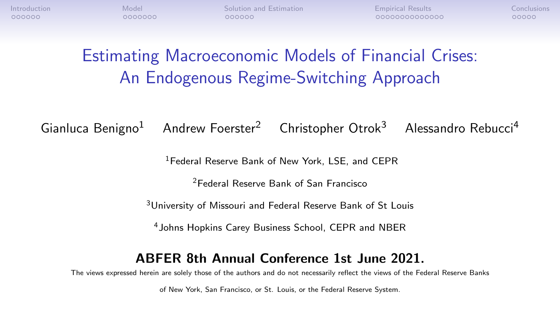0000000

[Introduction](#page-1-0) **[Model](#page-7-0) Model [Solution and Estimation](#page-14-0)** [Empirical Results](#page-20-0) [Conclusions](#page-34-0) Conclusions 000000

00000000000000

nnnnn

# Estimating Macroeconomic Models of Financial Crises: An Endogenous Regime-Switching Approach

Gianluca Benigno<sup>1</sup> Andrew Foerster<sup>2</sup> Christopher Otrok<sup>3</sup> Alessandro Rebucci<sup>4</sup>

<sup>1</sup>Federal Reserve Bank of New York, LSE, and CEPR

<sup>2</sup>Federal Reserve Bank of San Francisco

<sup>3</sup>University of Missouri and Federal Reserve Bank of St Louis

<sup>4</sup>Johns Hopkins Carey Business School, CEPR and NBER

#### ABFER 8th Annual Conference 1st June 2021.

The views expressed herein are solely those of the authors and do not necessarily reflect the views of the Federal Reserve Banks

of New York, San Francisco, or St. Louis, or the Federal Reserve System.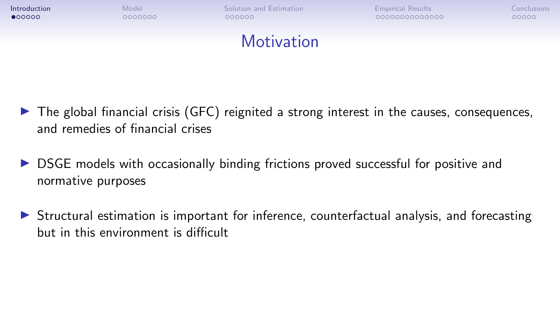<span id="page-1-0"></span>

- $\triangleright$  The global financial crisis (GFC) reignited a strong interest in the causes, consequences, and remedies of financial crises
- $\triangleright$  DSGE models with occasionally binding frictions proved successful for positive and normative purposes
- $\triangleright$  Structural estimation is important for inference, counterfactual analysis, and forecasting but in this environment is difficult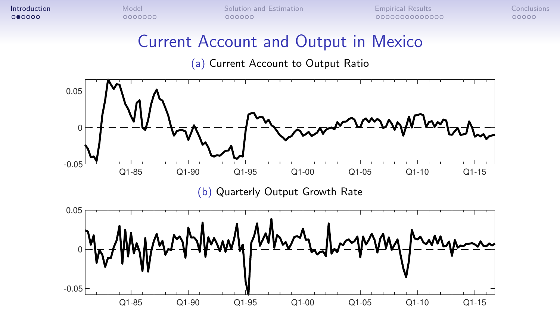# Current Account and Output in Mexico

(a) Current Account to Output Ratio

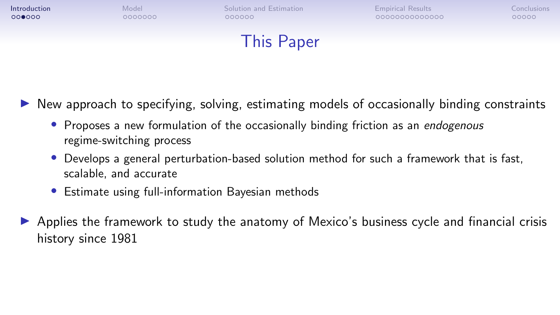

- New approach to specifying, solving, estimating models of occasionally binding constraints
	- Proposes a new formulation of the occasionally binding friction as an endogenous regime-switching process
	- Develops a general perturbation-based solution method for such a framework that is fast, scalable, and accurate
	- Estimate using full-information Bayesian methods
- Applies the framework to study the anatomy of Mexico's business cycle and financial crisis history since 1981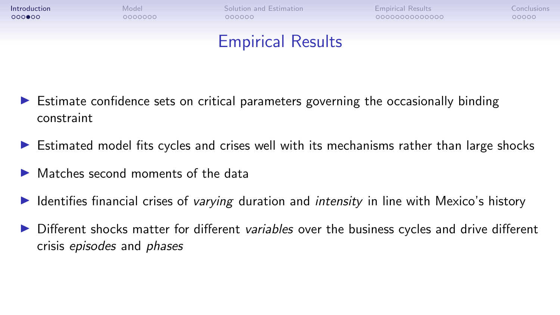

**[Introduction](#page-1-0)** [Model](#page-7-0) Model [Solution and Estimation](#page-14-0) **[Empirical Results](#page-20-0) [Conclusions](#page-34-0)** Conclusions  $000000$ 

0000000000000

nnnnn

# Empirical Results

- $\triangleright$  Estimate confidence sets on critical parameters governing the occasionally binding constraint
- $\triangleright$  Estimated model fits cycles and crises well with its mechanisms rather than large shocks
- $\blacktriangleright$  Matches second moments of the data
- I Identifies financial crises of *varying* duration and *intensity* in line with Mexico's history
- **ID** Different shocks matter for different *variables* over the business cycles and drive different crisis episodes and phases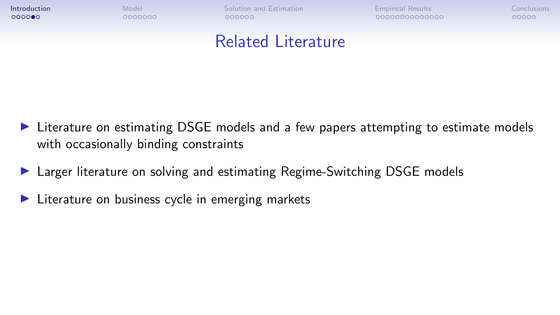**[Introduction](#page-1-0)** [Model](#page-7-0) Model [Solution and Estimation](#page-14-0) **[Empirical Results](#page-20-0) [Conclusions](#page-34-0)** Conclusions

COQOOQQQQQQQQQ

nnnnn

### Related Literature

- $\triangleright$  Literature on estimating DSGE models and a few papers attempting to estimate models with occasionally binding constraints
- ▶ Larger literature on solving and estimating Regime-Switching DSGE models
- $\blacktriangleright$  Literature on business cycle in emerging markets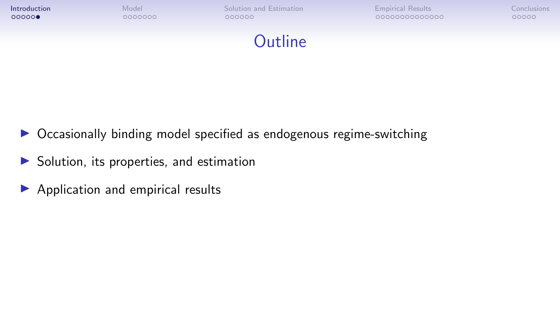

- $\triangleright$  Occasionally binding model specified as endogenous regime-switching
- $\triangleright$  Solution, its properties, and estimation
- $\blacktriangleright$  Application and empirical results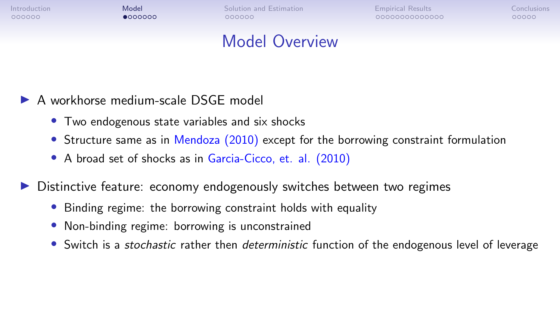$0000000$ 

<span id="page-7-0"></span>[Introduction](#page-1-0) **[Model](#page-7-0) Model** [Solution and Estimation](#page-14-0) **[Empirical Results](#page-20-0) [Conclusions](#page-34-0)** Conclusions 000000

00000000000000

nnnnn

# Model Overview

- A workhorse medium-scale DSGE model
	- Two endogenous state variables and six shocks
	- Structure same as in Mendoza (2010) except for the borrowing constraint formulation
	- A broad set of shocks as in Garcia-Cicco, et. al. (2010)

**In Distinctive feature: economy endogenously switches between two regimes** 

- Binding regime: the borrowing constraint holds with equality
- Non-binding regime: borrowing is unconstrained
- Switch is a *stochastic* rather then *deterministic* function of the endogenous level of leverage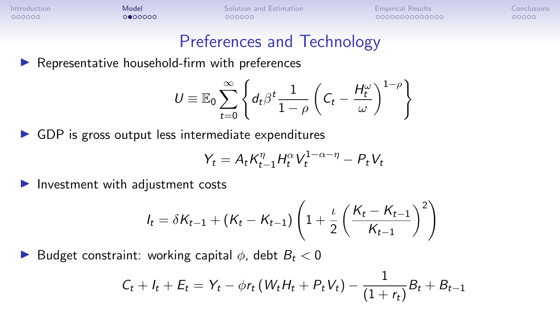[Introduction](#page-1-0) **[Model](#page-7-0) Model** [Solution and Estimation](#page-14-0) **[Empirical Results](#page-20-0) [Conclusions](#page-34-0)** Conclusions

COQOOQQQQQQQQQ

nnnnn

### Preferences and Technology

 $\blacktriangleright$  Representative household-firm with preferences

$$
U \equiv \mathbb{E}_0 \sum_{t=0}^{\infty} \left\{ d_t \beta^t \frac{1}{1-\rho} \left( C_t - \frac{H_t^{\omega}}{\omega} \right)^{1-\rho} \right\}
$$

 $\triangleright$  GDP is gross output less intermediate expenditures

$$
Y_t = A_t K_{t-1}^{\eta} H_t^{\alpha} V_t^{1-\alpha-\eta} - P_t V_t
$$

 $\blacktriangleright$  Investment with adjustment costs

$$
I_{t} = \delta K_{t-1} + (K_{t} - K_{t-1}) \left( 1 + \frac{\iota}{2} \left( \frac{K_{t} - K_{t-1}}{K_{t-1}} \right)^{2} \right)
$$

**D** Budget constraint: working capital  $\phi$ , debt  $B_t < 0$ 

$$
C_t + I_t + E_t = Y_t - \phi r_t (W_t H_t + P_t V_t) - \frac{1}{(1+r_t)} B_t + B_{t-1}
$$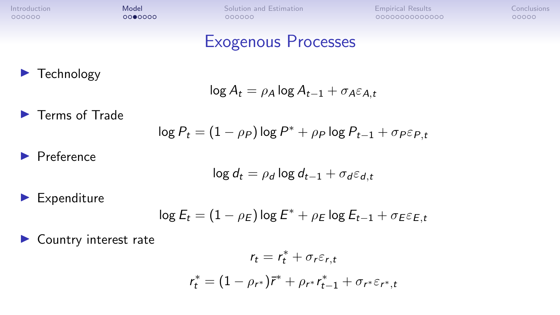### Exogenous Processes

 $\blacktriangleright$  Technology

$$
\log A_t = \rho_A \log A_{t-1} + \sigma_A \varepsilon_{A,t}
$$

 $\blacktriangleright$  Terms of Trade

$$
\log P_t = (1 - \rho_P) \log P^* + \rho_P \log P_{t-1} + \sigma_P \varepsilon_{P,t}
$$

 $\blacktriangleright$  Preference

$$
\log d_t = \rho_d \log d_{t-1} + \sigma_d \varepsilon_{d,t}
$$

 $\blacktriangleright$  Expenditure

$$
\log E_t = (1 - \rho_E) \log E^* + \rho_E \log E_{t-1} + \sigma_E \varepsilon_{E,t}
$$

 $\blacktriangleright$  Country interest rate

$$
r_{t} = r_{t}^{*} + \sigma_{r}\varepsilon_{r,t}
$$

$$
r_{t}^{*} = (1 - \rho_{r^{*}})\overline{r}^{*} + \rho_{r^{*}}r_{t-1}^{*} + \sigma_{r^{*}}\varepsilon_{r^{*},t}
$$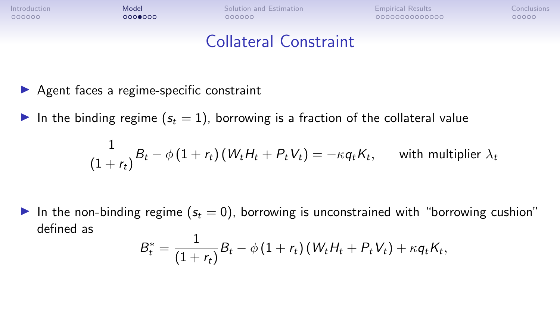$0000000$ 

[Introduction](#page-1-0) **[Model](#page-7-0) Model** [Solution and Estimation](#page-14-0) **[Empirical Results](#page-20-0) [Conclusions](#page-34-0)** Conclusions 000000

COQOOQQQQQQQQQ

00000

# Collateral Constraint

- $\blacktriangleright$  Agent faces a regime-specific constraint
- In the binding regime  $(s_t = 1)$ , borrowing is a fraction of the collateral value

$$
\frac{1}{(1+r_t)}B_t - \phi(1+r_t)(W_t H_t + P_t V_t) = -\kappa q_t K_t, \quad \text{with multiplier } \lambda_t
$$

In the non-binding regime ( $s_t = 0$ ), borrowing is unconstrained with "borrowing cushion" defined as  $\overline{a}$ 

$$
B_t^* = \frac{1}{(1+r_t)}B_t - \phi(1+r_t)(W_t H_t + P_t V_t) + \kappa q_t K_t,
$$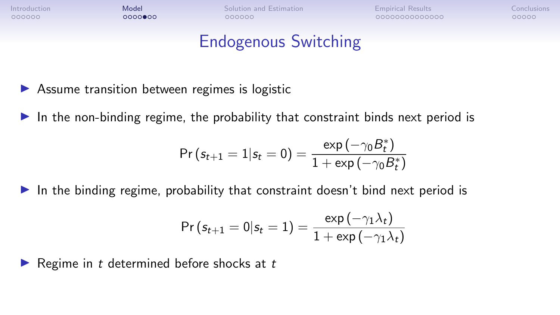[Introduction](#page-1-0) **[Model](#page-7-0) Model** [Solution and Estimation](#page-14-0) **[Empirical Results](#page-20-0) [Conclusions](#page-34-0)** Conclusions

COQOOQQQQQQQQQ

nnnnn

# Endogenous Switching

- $\triangleright$  Assume transition between regimes is logistic
- In the non-binding regime, the probability that constraint binds next period is

$$
\text{Pr}\left(s_{t+1}=1|s_{t}=0\right)=\frac{\exp\left(-\gamma_{0}B_{t}^{*}\right)}{1+\exp\left(-\gamma_{0}B_{t}^{*}\right)}
$$

In the binding regime, probability that constraint doesn't bind next period is

$$
\Pr\left(s_{t+1}=0|s_t=1\right)=\frac{\exp\left(-\gamma_1\lambda_t\right)}{1+\exp\left(-\gamma_1\lambda_t\right)}
$$

Regime in  $t$  determined before shocks at  $t$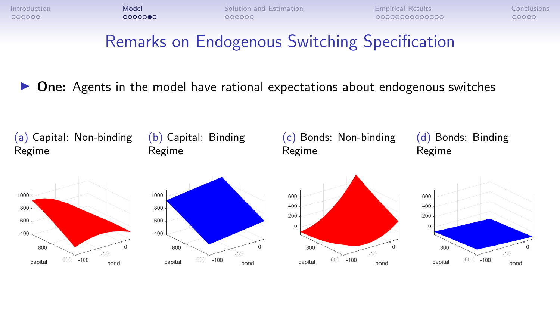# Remarks on Endogenous Switching Specification

 $\triangleright$  One: Agents in the model have rational expectations about endogenous switches

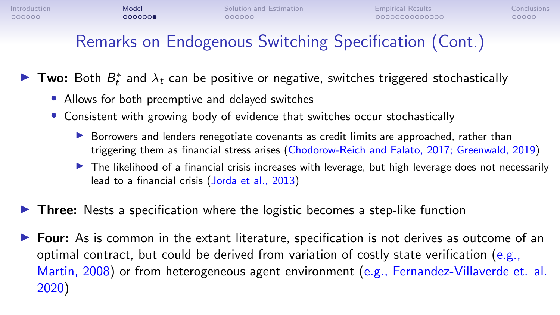# Remarks on Endogenous Switching Specification (Cont.)

Two: Both  $B_t^*$  and  $\lambda_t$  can be positive or negative, switches triggered stochastically

- Allows for both preemptive and delayed switches
- Consistent with growing body of evidence that switches occur stochastically
	- $\triangleright$  Borrowers and lenders renegotiate covenants as credit limits are approached, rather than triggering them as financial stress arises (Chodorow-Reich and Falato, 2017; Greenwald, 2019)
	- $\triangleright$  The likelihood of a financial crisis increases with leverage, but high leverage does not necessarily lead to a financial crisis (Jorda et al., 2013)
- **In Three:** Nests a specification where the logistic becomes a step-like function
- $\triangleright$  Four: As is common in the extant literature, specification is not derives as outcome of an optimal contract, but could be derived from variation of costly state verification (e.g., Martin, 2008) or from heterogeneous agent environment (e.g., Fernandez-Villaverde et. al. 2020)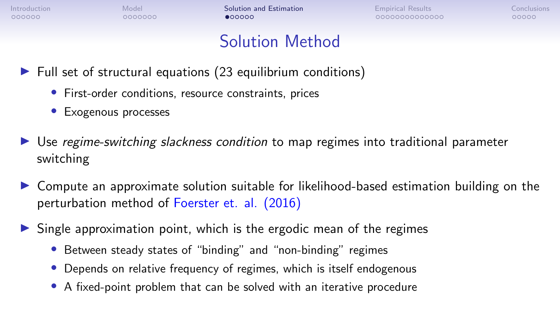0000000

<span id="page-14-0"></span>[Introduction](#page-1-0) **[Model](#page-7-0) Model [Solution and Estimation](#page-14-0) Accompany** [Empirical Results](#page-20-0) [Conclusions](#page-34-0) Conclusions

00000000000000

nnnnn

### Solution Method

- $\blacktriangleright$  Full set of structural equations (23 equilibrium conditions)
	- First-order conditions, resource constraints, prices
	- Exogenous processes
- $\triangleright$  Use *regime-switching slackness condition* to map regimes into traditional parameter switching
- $\triangleright$  Compute an approximate solution suitable for likelihood-based estimation building on the perturbation method of Foerster et. al. (2016)
- $\triangleright$  Single approximation point, which is the ergodic mean of the regimes
	- Between steady states of "binding" and "non-binding" regimes
	- Depends on relative frequency of regimes, which is itself endogenous
	- A fixed-point problem that can be solved with an iterative procedure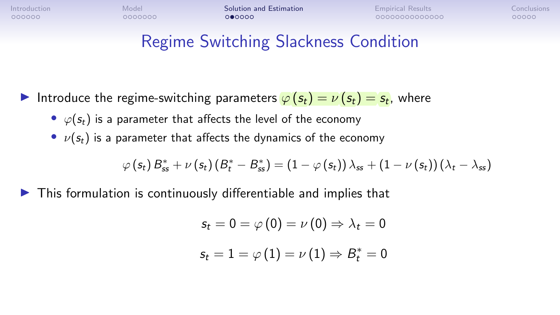0000000

[Introduction](#page-1-0) **[Model](#page-7-0) Model [Solution and Estimation](#page-14-0) Accompany** [Empirical Results](#page-20-0) [Conclusions](#page-34-0) Conclusions

COQOOQQQQQQQQQ

nnnnn

# Regime Switching Slackness Condition

- Introduce the regime-switching parameters  $\varphi(s_t) = \nu(s_t) = s_t$ , where
	- $\varphi(s_t)$  is a parameter that affects the level of the economy
	- $\nu(s_t)$  is a parameter that affects the dynamics of the economy

$$
\varphi\left(s_{t}\right)\mathbf{\boldsymbol{\beta}}^{*}_{ss}+\nu\left(s_{t}\right)\left(\mathbf{\boldsymbol{\beta}}^{*}_{t}-\mathbf{\boldsymbol{\beta}}^{*}_{ss}\right)=\left(1-\varphi\left(s_{t}\right)\right)\lambda_{ss}+\left(1-\nu\left(s_{t}\right)\right)\left(\lambda_{t}-\lambda_{ss}\right)
$$

 $\triangleright$  This formulation is continuously differentiable and implies that

$$
s_t = 0 = \varphi(0) = \nu(0) \Rightarrow \lambda_t = 0
$$

$$
s_t = 1 = \varphi(1) = \nu(1) \Rightarrow B_t^* = 0
$$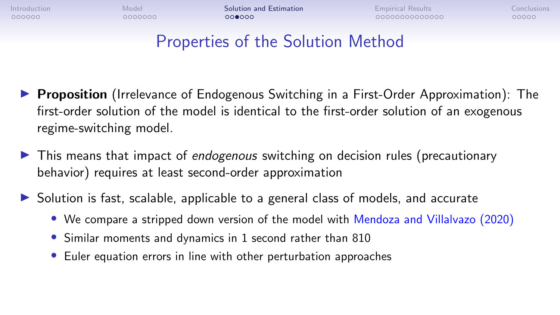000000

[Introduction](#page-1-0) **[Model](#page-7-0) Model [Solution and Estimation](#page-14-0) Accompany** [Empirical Results](#page-20-0) [Conclusions](#page-34-0) Conclusions  $000000$ 

00000000000000

nnnnn

# Properties of the Solution Method

- **Proposition** (Irrelevance of Endogenous Switching in a First-Order Approximation): The first-order solution of the model is identical to the first-order solution of an exogenous regime-switching model.
- $\blacktriangleright$  This means that impact of endogenous switching on decision rules (precautionary behavior) requires at least second-order approximation
- $\triangleright$  Solution is fast, scalable, applicable to a general class of models, and accurate
	- We compare a stripped down version of the model with Mendoza and Villalvazo (2020)
	- Similar moments and dynamics in 1 second rather than 810
	- Euler equation errors in line with other perturbation approaches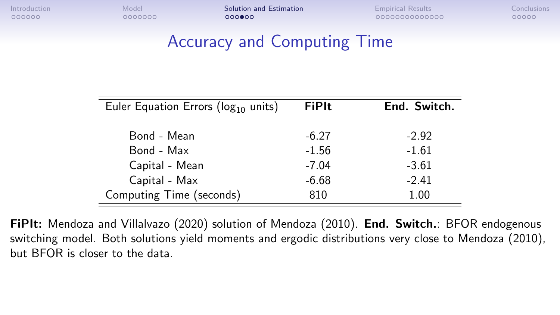[Introduction](#page-1-0) **[Model](#page-7-0) Model [Solution and Estimation](#page-14-0) Accompany** [Empirical Results](#page-20-0) [Conclusions](#page-34-0) Conclusions

00000

# Accuracy and Computing Time

| Euler Equation Errors ( $log_{10}$ units) | <b>FiPIt</b> | End. Switch. |
|-------------------------------------------|--------------|--------------|
| Bond - Mean                               | $-6.27$      | $-2.92$      |
| Bond - Max                                | $-1.56$      | $-1.61$      |
| Capital - Mean                            | $-7.04$      | $-3.61$      |
| Capital - Max                             | $-6.68$      | $-2.41$      |
| Computing Time (seconds)                  | 810          | 1.00         |

FiPIt: Mendoza and Villalvazo (2020) solution of Mendoza (2010). End. Switch.: BFOR endogenous switching model. Both solutions yield moments and ergodic distributions very close to Mendoza (2010), but BFOR is closer to the data.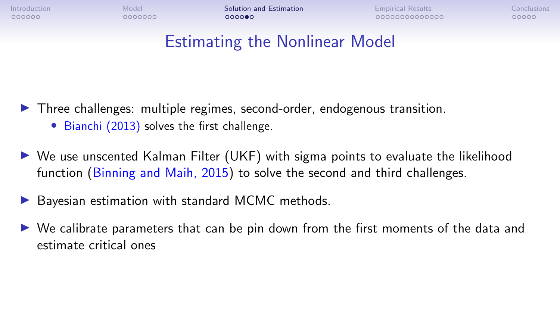0000000

[Introduction](#page-1-0) **[Model](#page-7-0) Model [Solution and Estimation](#page-14-0) Accompany** [Empirical Results](#page-20-0) [Conclusions](#page-34-0) Conclusions  $000000$ 

00000000000000

nnnnn

# Estimating the Nonlinear Model

 $\triangleright$  Three challenges: multiple regimes, second-order, endogenous transition.

- Bianchi (2013) solves the first challenge.
- $\triangleright$  We use unscented Kalman Filter (UKF) with sigma points to evaluate the likelihood function (Binning and Maih, 2015) to solve the second and third challenges.
- Bayesian estimation with standard MCMC methods.
- $\triangleright$  We calibrate parameters that can be pin down from the first moments of the data and estimate critical ones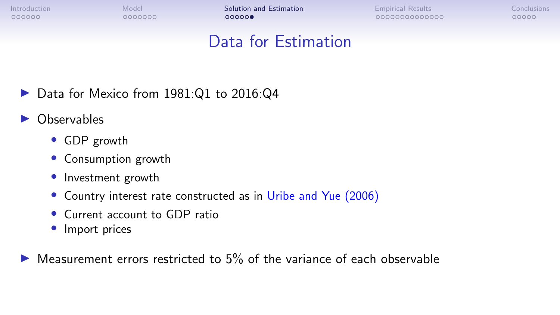[Introduction](#page-1-0) **[Model](#page-7-0) Model [Solution and Estimation](#page-14-0) Accompany** [Empirical Results](#page-20-0) [Conclusions](#page-34-0) Conclusions

COQOOQQQQQQQQQ

nnnnn

# Data for Estimation

- $\triangleright$  Data for Mexico from 1981:Q1 to 2016:Q4
- **Observables** 
	- GDP growth
	- Consumption growth
	- Investment growth
	- Country interest rate constructed as in Uribe and Yue (2006)
	- Current account to GDP ratio
	- Import prices

I Measurement errors restricted to 5% of the variance of each observable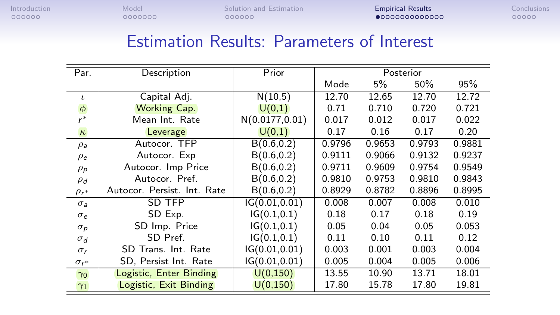<span id="page-20-0"></span>

# Estimation Results: Parameters of Interest

| Par.                | Description                 | Prior           | Posterior |        |        |        |
|---------------------|-----------------------------|-----------------|-----------|--------|--------|--------|
|                     |                             |                 | Mode      | 5%     | 50%    | 95%    |
| $\mathbf{L}$        | Capital Adj.                | N(10,5)         | 12.70     | 12.65  | 12.70  | 12.72  |
| $\phi$              | <b>Working Cap.</b>         | U(0,1)          | 0.71      | 0.710  | 0.720  | 0.721  |
| $r^*$               | Mean Int. Rate              | N(0.0177, 0.01) | 0.017     | 0.012  | 0.017  | 0.022  |
| $\kappa$            | Leverage                    | U(0,1)          | 0.17      | 0.16   | 0.17   | 0.20   |
| $\rho_{\mathsf{a}}$ | Autocor. TFP                | B(0.6, 0.2)     | 0.9796    | 0.9653 | 0.9793 | 0.9881 |
| $\rho_e$            | Autocor. Exp                | B(0.6, 0.2)     | 0.9111    | 0.9066 | 0.9132 | 0.9237 |
| $\rho_{\textit{p}}$ | Autocor. Imp Price          | B(0.6, 0.2)     | 0.9711    | 0.9609 | 0.9754 | 0.9549 |
| $\rho_d$            | Autocor. Pref.              | B(0.6, 0.2)     | 0.9810    | 0.9753 | 0.9810 | 0.9843 |
| $\rho_{r^*}$        | Autocor. Persist. Int. Rate | B(0.6, 0.2)     | 0.8929    | 0.8782 | 0.8896 | 0.8995 |
| $\sigma_a$          | SD TFP                      | IG(0.01, 0.01)  | 0.008     | 0.007  | 0.008  | 0.010  |
| $\sigma_e$          | SD Exp.                     | IG(0.1, 0.1)    | 0.18      | 0.17   | 0.18   | 0.19   |
| $\sigma_{p}$        | SD Imp. Price               | IG(0.1, 0.1)    | 0.05      | 0.04   | 0.05   | 0.053  |
| $\sigma_d$          | SD Pref.                    | IG(0.1, 0.1)    | 0.11      | 0.10   | 0.11   | 0.12   |
| $\sigma_r$          | SD Trans. Int. Rate         | IG(0.01, 0.01)  | 0.003     | 0.001  | 0.003  | 0.004  |
| $\sigma_{r^*}$      | SD, Persist Int. Rate       | IG(0.01, 0.01)  | 0.005     | 0.004  | 0.005  | 0.006  |
| $\gamma_0$          | Logistic, Enter Binding     | U(0, 150)       | 13.55     | 10.90  | 13.71  | 18.01  |
| $\gamma_1$          | Logistic, Exit Binding      | U(0, 150)       | 17.80     | 15.78  | 17.80  | 19.81  |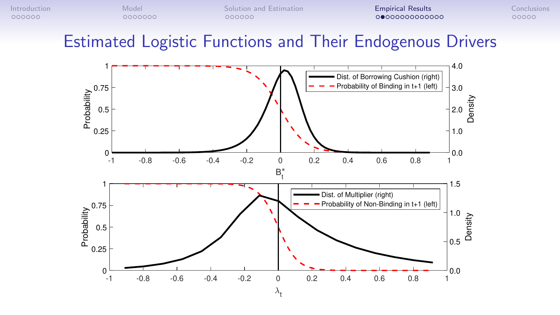Estimated Logistic Functions and Their Endogenous Drivers

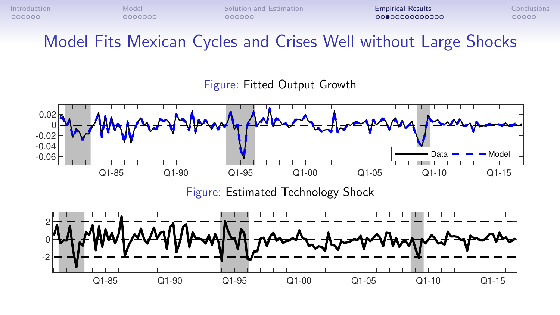Model Fits Mexican Cycles and Crises Well without Large Shocks

Figure: Fitted Output Growth

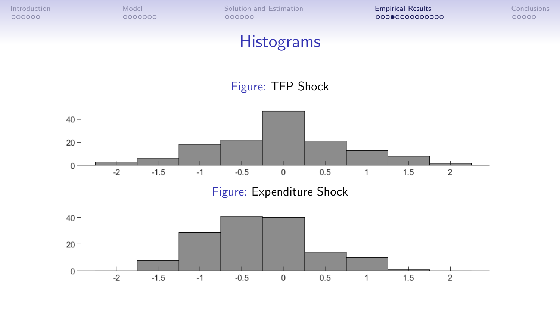

# **Histograms**

#### Figure: TFP Shock



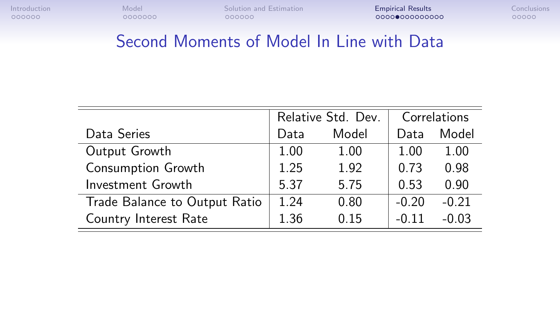# Second Moments of Model In Line with Data

|                               | Relative Std. Dev. |       |         | Correlations |
|-------------------------------|--------------------|-------|---------|--------------|
| Data Series                   | Data               | Model | Data    | Model        |
| Output Growth                 | 1.00               | 1.00  | 1.00    | 1.00         |
| Consumption Growth            | 1.25               | 1.92  | 0.73    | 0.98         |
| Investment Growth             | 5.37               | 5.75  | 0.53    | 0.90         |
| Trade Balance to Output Ratio | 1.24               | 0.80  | $-0.20$ | $-0.21$      |
| Country Interest Rate         | 1.36               | 0.15  | $-0.11$ | $-0.03$      |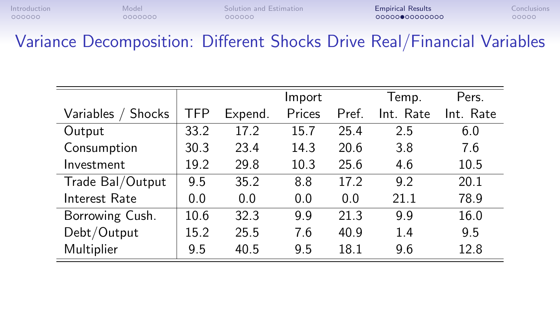Variance Decomposition: Different Shocks Drive Real/Financial Variables

|                       |      |         | Import |       | Temp.     | Pers.     |
|-----------------------|------|---------|--------|-------|-----------|-----------|
| Variables /<br>Shocks | TFP  | Expend. | Prices | Pref. | Int. Rate | Int. Rate |
| Output                | 33.2 | 17.2    | 15.7   | 25.4  | 2.5       | 6.0       |
| Consumption           | 30.3 | 23.4    | 14.3   | 20.6  | 3.8       | 7.6       |
| Investment            | 19.2 | 29.8    | 10.3   | 25.6  | 4.6       | 10.5      |
| Trade Bal/Output      | 9.5  | 35.2    | 8.8    | 17.2  | 9.2       | 20.1      |
| Interest Rate         | 0.0  | 0.0     | 0.0    | 0.0   | 21.1      | 78.9      |
| Borrowing Cush.       | 10.6 | 32.3    | 9.9    | 21.3  | 9.9       | 16.0      |
| Debt/Output           | 15.2 | 25.5    | 7.6    | 40.9  | 1.4       | 9.5       |
| Multiplier            | 9.5  | 40.5    | 9.5    | 18.1  | 9.6       | 12.8      |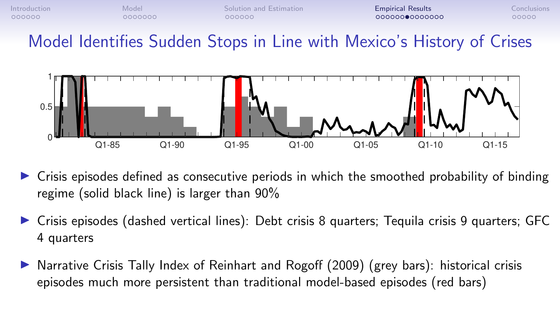

Model Identifies Sudden Stops in Line with Mexico's History of Crises



- $\triangleright$  Crisis episodes defined as consecutive periods in which the smoothed probability of binding regime (solid black line) is larger than 90%
- $\triangleright$  Crisis episodes (dashed vertical lines): Debt crisis 8 quarters; Tequila crisis 9 quarters; GFC 4 quarters
- **In** Narrative Crisis Tally Index of Reinhart and Rogoff  $(2009)$  (grey bars): historical crisis episodes much more persistent than traditional model-based episodes (red bars)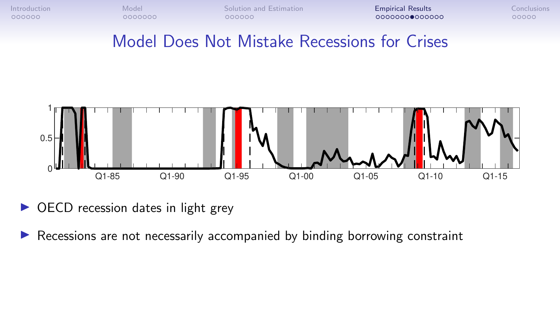### Model Does Not Mistake Recessions for Crises



- $\triangleright$  OECD recession dates in light grey
- $\triangleright$  Recessions are not necessarily accompanied by binding borrowing constraint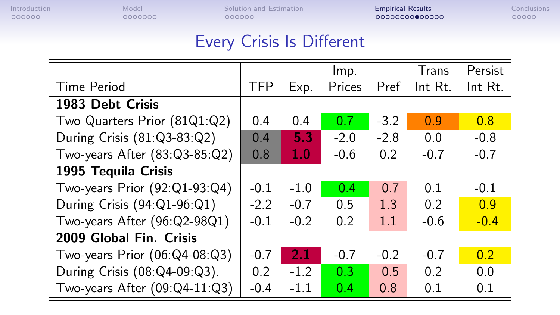# Every Crisis Is Different

|            |        | lmp.   |        | Trans   | Persist          |
|------------|--------|--------|--------|---------|------------------|
| <b>TFP</b> | Exp.   | Prices | Pref   | Int Rt. | Int Rt.          |
|            |        |        |        |         |                  |
| 0.4        | 0.4    | 0.7    | $-3.2$ | 0.9     | 0.8              |
| 0.4        | 5.3    | $-2.0$ | $-2.8$ | 0.0     | $-0.8$           |
| 0.8        | 1.0    | $-0.6$ | 0.2    | $-0.7$  | $-0.7$           |
|            |        |        |        |         |                  |
| $-0.1$     | $-1.0$ | 0.4    | 0.7    | 0.1     | $-0.1$           |
| $-2.2$     | $-0.7$ | 0.5    | 1.3    | 0.2     | 0.9              |
| $-0.1$     | $-0.2$ | 0.2    | 1.1    | $-0.6$  | $-0.4$           |
|            |        |        |        |         |                  |
| $-0.7$     | 2.1    | $-0.7$ | $-0.2$ | $-0.7$  | 0.2 <sub>0</sub> |
| 0.2        | $-1.2$ | 0.3    | 0.5    | 0.2     | 0.0              |
| $-0.4$     | $-1.1$ | 0.4    | 0.8    | 0.1     | 0.1              |
|            |        |        |        |         |                  |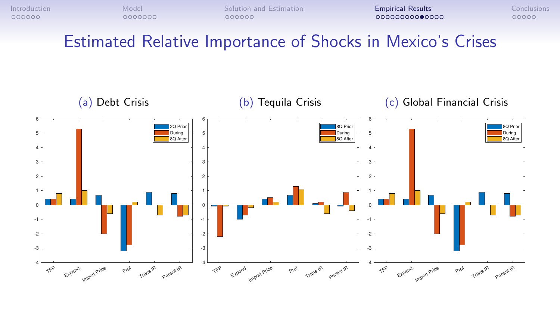Estimated Relative Importance of Shocks in Mexico's Crises

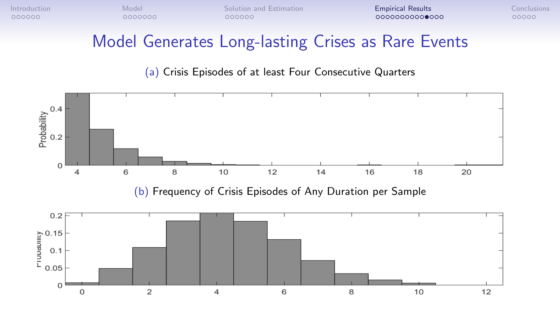# Model Generates Long-lasting Crises as Rare Events

(a) Crisis Episodes of at least Four Consecutive Quarters

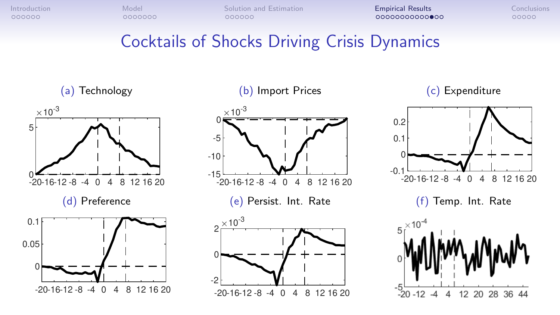# Cocktails of Shocks Driving Crisis Dynamics

(a) Technology



(b) Import Prices



(c) Expenditure

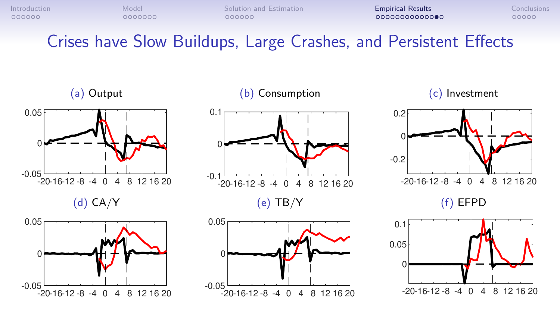Crises have Slow Buildups, Large Crashes, and Persistent Effects

(a) Output



(d) CA/Y





-20-16-12 -8 -4 0 4 8 12 16 20

-0.05

0

0.05

#### (c) Investment





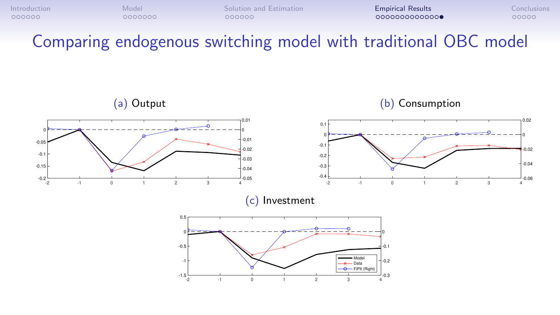Comparing endogenous switching model with traditional OBC model

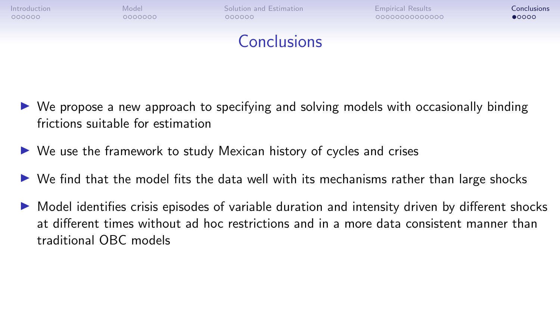<span id="page-34-0"></span>

- $\triangleright$  We propose a new approach to specifying and solving models with occasionally binding frictions suitable for estimation
- $\triangleright$  We use the framework to study Mexican history of cycles and crises
- $\triangleright$  We find that the model fits the data well with its mechanisms rather than large shocks
- $\triangleright$  Model identifies crisis episodes of variable duration and intensity driven by different shocks at different times without ad hoc restrictions and in a more data consistent manner than traditional OBC models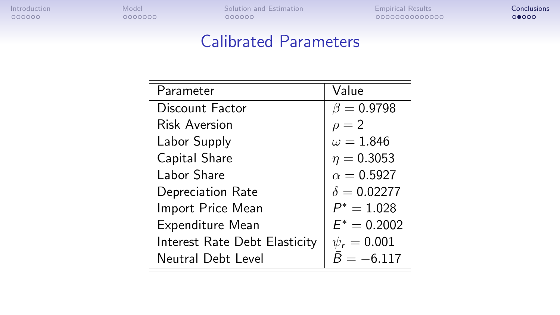# Calibrated Parameters

| Parameter                     | Value              |
|-------------------------------|--------------------|
| Discount Factor               | $\beta = 0.9798$   |
| Risk Aversion                 | $\rho = 2$         |
| Labor Supply                  | $\omega = 1.846$   |
| Capital Share                 | $\eta = 0.3053$    |
| Labor Share                   | $\alpha = 0.5927$  |
| Depreciation Rate             | $\delta = 0.02277$ |
| Import Price Mean             | $P^* = 1.028$      |
| Expenditure Mean              | $E^* = 0.2002$     |
| Interest Rate Debt Elasticity | $\psi_r=0.001$     |
| Neutral Debt Level            | $B = -6.117$       |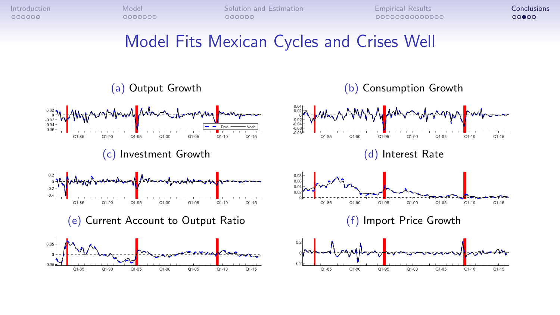# Model Fits Mexican Cycles and Crises Well

#### (a) Output Growth (b) Consumption Growth

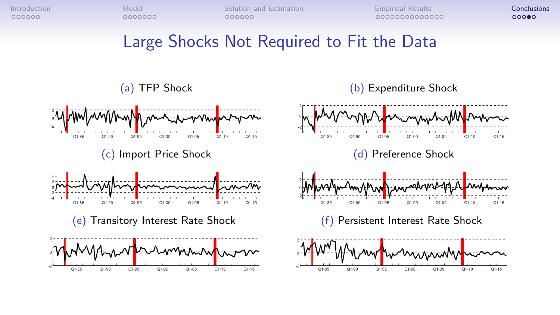$O1 - 0.5$ 

 $Q1 - 05$ 

 $O1 - 10$ 

 $Q1 - 10$ 

 $Q1 - 10$ 

 $Q1 - 15$ 

 $Q1 - 15$ 

 $Q1 - 15$ 

# Large Shocks Not Required to Fit the Data

#### (a) TFP Shock (b) Expenditure Shock